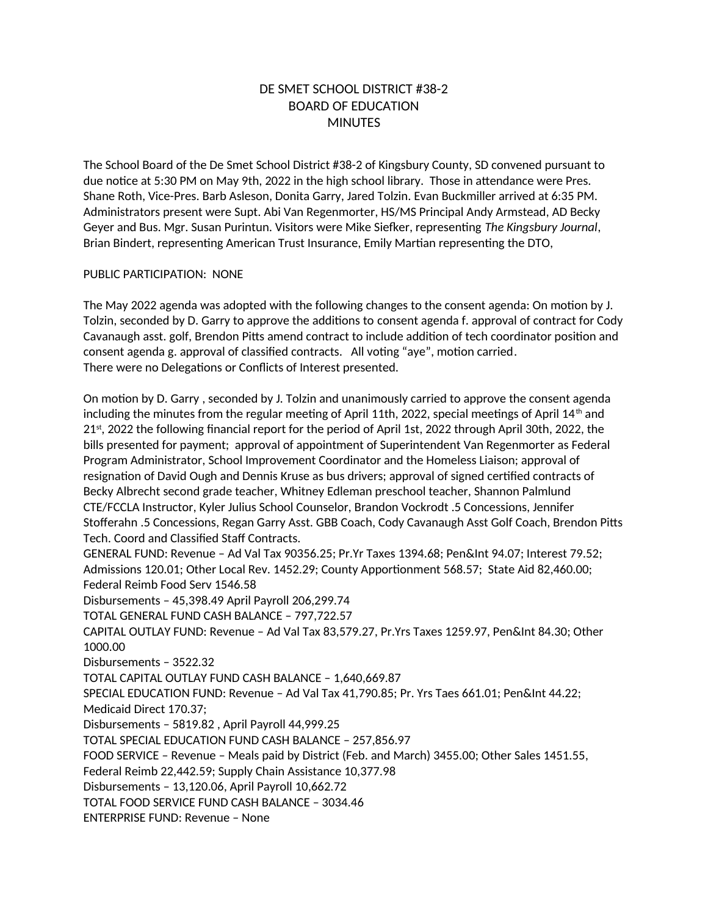## DE SMET SCHOOL DISTRICT #38-2 BOARD OF EDUCATION **MINUTES**

The School Board of the De Smet School District #38-2 of Kingsbury County, SD convened pursuant to due notice at 5:30 PM on May 9th, 2022 in the high school library. Those in attendance were Pres. Shane Roth, Vice-Pres. Barb Asleson, Donita Garry, Jared Tolzin. Evan Buckmiller arrived at 6:35 PM. Administrators present were Supt. Abi Van Regenmorter, HS/MS Principal Andy Armstead, AD Becky Geyer and Bus. Mgr. Susan Purintun. Visitors were Mike Siefker, representing *The Kingsbury Journal*, Brian Bindert, representing American Trust Insurance, Emily Martian representing the DTO,

## PUBLIC PARTICIPATION: NONE

The May 2022 agenda was adopted with the following changes to the consent agenda: On motion by J. Tolzin, seconded by D. Garry to approve the additions to consent agenda f. approval of contract for Cody Cavanaugh asst. golf, Brendon Pitts amend contract to include addition of tech coordinator position and consent agenda g. approval of classified contracts. All voting "aye", motion carried. There were no Delegations or Conflicts of Interest presented.

On motion by D. Garry , seconded by J. Tolzin and unanimously carried to approve the consent agenda including the minutes from the regular meeting of April 11th, 2022, special meetings of April  $14<sup>th</sup>$  and  $21<sup>st</sup>$ , 2022 the following financial report for the period of April 1st, 2022 through April 30th, 2022, the bills presented for payment; approval of appointment of Superintendent Van Regenmorter as Federal Program Administrator, School Improvement Coordinator and the Homeless Liaison; approval of resignation of David Ough and Dennis Kruse as bus drivers; approval of signed certified contracts of Becky Albrecht second grade teacher, Whitney Edleman preschool teacher, Shannon Palmlund CTE/FCCLA Instructor, Kyler Julius School Counselor, Brandon Vockrodt .5 Concessions, Jennifer Stofferahn .5 Concessions, Regan Garry Asst. GBB Coach, Cody Cavanaugh Asst Golf Coach, Brendon Pitts Tech. Coord and Classified Staff Contracts. GENERAL FUND: Revenue – Ad Val Tax 90356.25; Pr.Yr Taxes 1394.68; Pen&Int 94.07; Interest 79.52; Admissions 120.01; Other Local Rev. 1452.29; County Apportionment 568.57; State Aid 82,460.00; Federal Reimb Food Serv 1546.58 Disbursements – 45,398.49 April Payroll 206,299.74 TOTAL GENERAL FUND CASH BALANCE – 797,722.57 CAPITAL OUTLAY FUND: Revenue – Ad Val Tax 83,579.27, Pr.Yrs Taxes 1259.97, Pen&Int 84.30; Other 1000.00 Disbursements – 3522.32 TOTAL CAPITAL OUTLAY FUND CASH BALANCE – 1,640,669.87 SPECIAL EDUCATION FUND: Revenue – Ad Val Tax 41,790.85; Pr. Yrs Taes 661.01; Pen&Int 44.22; Medicaid Direct 170.37; Disbursements – 5819.82 , April Payroll 44,999.25 TOTAL SPECIAL EDUCATION FUND CASH BALANCE – 257,856.97 FOOD SERVICE – Revenue – Meals paid by District (Feb. and March) 3455.00; Other Sales 1451.55, Federal Reimb 22,442.59; Supply Chain Assistance 10,377.98 Disbursements – 13,120.06, April Payroll 10,662.72 TOTAL FOOD SERVICE FUND CASH BALANCE – 3034.46 ENTERPRISE FUND: Revenue – None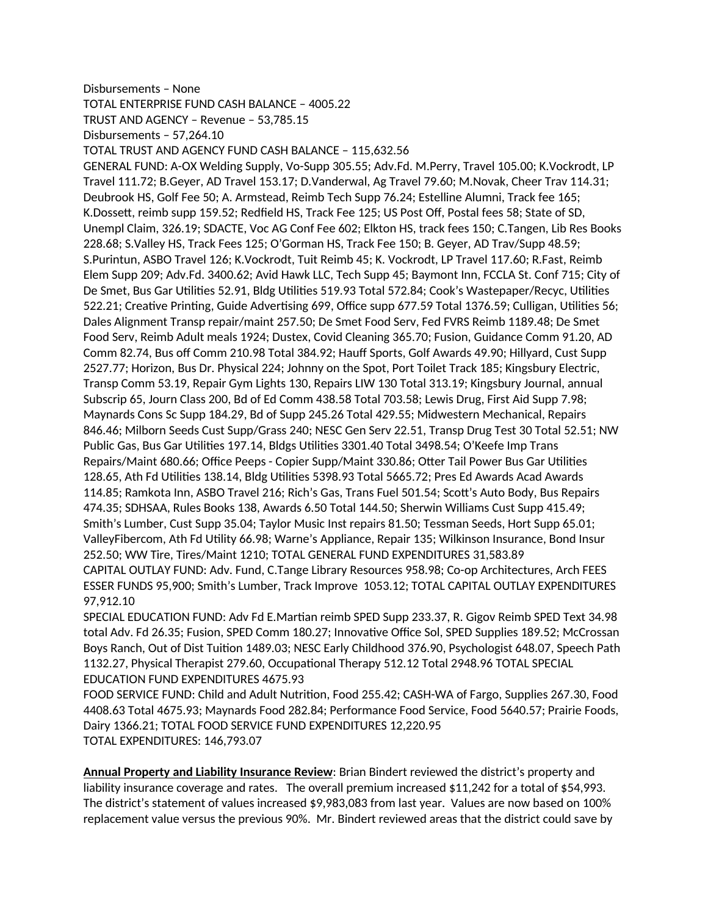## Disbursements – None

TOTAL ENTERPRISE FUND CASH BALANCE – 4005.22

TRUST AND AGENCY – Revenue – 53,785.15

Disbursements – 57,264.10

TOTAL TRUST AND AGENCY FUND CASH BALANCE – 115,632.56

GENERAL FUND: A-OX Welding Supply, Vo-Supp 305.55; Adv.Fd. M.Perry, Travel 105.00; K.Vockrodt, LP Travel 111.72; B.Geyer, AD Travel 153.17; D.Vanderwal, Ag Travel 79.60; M.Novak, Cheer Trav 114.31; Deubrook HS, Golf Fee 50; A. Armstead, Reimb Tech Supp 76.24; Estelline Alumni, Track fee 165; K.Dossett, reimb supp 159.52; Redfield HS, Track Fee 125; US Post Off, Postal fees 58; State of SD, Unempl Claim, 326.19; SDACTE, Voc AG Conf Fee 602; Elkton HS, track fees 150; C.Tangen, Lib Res Books 228.68; S.Valley HS, Track Fees 125; O'Gorman HS, Track Fee 150; B. Geyer, AD Trav/Supp 48.59; S.Purintun, ASBO Travel 126; K.Vockrodt, Tuit Reimb 45; K. Vockrodt, LP Travel 117.60; R.Fast, Reimb Elem Supp 209; Adv.Fd. 3400.62; Avid Hawk LLC, Tech Supp 45; Baymont Inn, FCCLA St. Conf 715; City of De Smet, Bus Gar Utilities 52.91, Bldg Utilities 519.93 Total 572.84; Cook's Wastepaper/Recyc, Utilities 522.21; Creative Printing, Guide Advertising 699, Office supp 677.59 Total 1376.59; Culligan, Utilities 56; Dales Alignment Transp repair/maint 257.50; De Smet Food Serv, Fed FVRS Reimb 1189.48; De Smet Food Serv, Reimb Adult meals 1924; Dustex, Covid Cleaning 365.70; Fusion, Guidance Comm 91.20, AD Comm 82.74, Bus off Comm 210.98 Total 384.92; Hauff Sports, Golf Awards 49.90; Hillyard, Cust Supp 2527.77; Horizon, Bus Dr. Physical 224; Johnny on the Spot, Port Toilet Track 185; Kingsbury Electric, Transp Comm 53.19, Repair Gym Lights 130, Repairs LIW 130 Total 313.19; Kingsbury Journal, annual Subscrip 65, Journ Class 200, Bd of Ed Comm 438.58 Total 703.58; Lewis Drug, First Aid Supp 7.98; Maynards Cons Sc Supp 184.29, Bd of Supp 245.26 Total 429.55; Midwestern Mechanical, Repairs 846.46; Milborn Seeds Cust Supp/Grass 240; NESC Gen Serv 22.51, Transp Drug Test 30 Total 52.51; NW Public Gas, Bus Gar Utilities 197.14, Bldgs Utilities 3301.40 Total 3498.54; O'Keefe Imp Trans Repairs/Maint 680.66; Office Peeps - Copier Supp/Maint 330.86; Otter Tail Power Bus Gar Utilities 128.65, Ath Fd Utilities 138.14, Bldg Utilities 5398.93 Total 5665.72; Pres Ed Awards Acad Awards 114.85; Ramkota Inn, ASBO Travel 216; Rich's Gas, Trans Fuel 501.54; Scott's Auto Body, Bus Repairs 474.35; SDHSAA, Rules Books 138, Awards 6.50 Total 144.50; Sherwin Williams Cust Supp 415.49; Smith's Lumber, Cust Supp 35.04; Taylor Music Inst repairs 81.50; Tessman Seeds, Hort Supp 65.01; ValleyFibercom, Ath Fd Utility 66.98; Warne's Appliance, Repair 135; Wilkinson Insurance, Bond Insur 252.50; WW Tire, Tires/Maint 1210; TOTAL GENERAL FUND EXPENDITURES 31,583.89 CAPITAL OUTLAY FUND: Adv. Fund, C.Tange Library Resources 958.98; Co-op Architectures, Arch FEES ESSER FUNDS 95,900; Smith's Lumber, Track Improve 1053.12; TOTAL CAPITAL OUTLAY EXPENDITURES 97,912.10

SPECIAL EDUCATION FUND: Adv Fd E.Martian reimb SPED Supp 233.37, R. Gigov Reimb SPED Text 34.98 total Adv. Fd 26.35; Fusion, SPED Comm 180.27; Innovative Office Sol, SPED Supplies 189.52; McCrossan Boys Ranch, Out of Dist Tuition 1489.03; NESC Early Childhood 376.90, Psychologist 648.07, Speech Path 1132.27, Physical Therapist 279.60, Occupational Therapy 512.12 Total 2948.96 TOTAL SPECIAL EDUCATION FUND EXPENDITURES 4675.93

FOOD SERVICE FUND: Child and Adult Nutrition, Food 255.42; CASH-WA of Fargo, Supplies 267.30, Food 4408.63 Total 4675.93; Maynards Food 282.84; Performance Food Service, Food 5640.57; Prairie Foods, Dairy 1366.21; TOTAL FOOD SERVICE FUND EXPENDITURES 12,220.95 TOTAL EXPENDITURES: 146,793.07

**Annual Property and Liability Insurance Review**: Brian Bindert reviewed the district's property and liability insurance coverage and rates. The overall premium increased \$11,242 for a total of \$54,993. The district's statement of values increased \$9,983,083 from last year. Values are now based on 100% replacement value versus the previous 90%. Mr. Bindert reviewed areas that the district could save by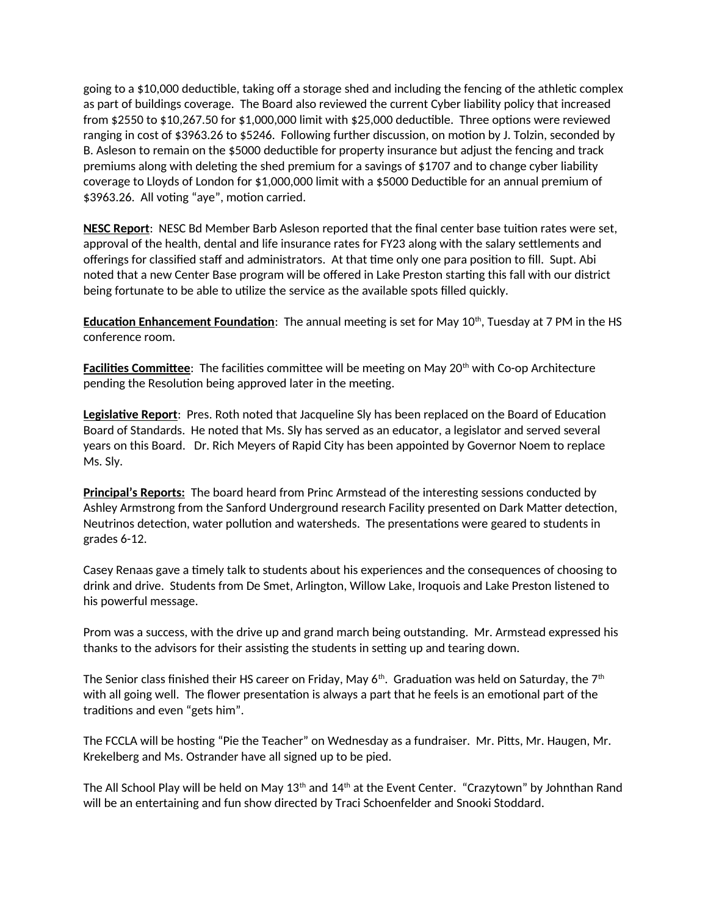going to a \$10,000 deductible, taking off a storage shed and including the fencing of the athletic complex as part of buildings coverage. The Board also reviewed the current Cyber liability policy that increased from \$2550 to \$10,267.50 for \$1,000,000 limit with \$25,000 deductible. Three options were reviewed ranging in cost of \$3963.26 to \$5246. Following further discussion, on motion by J. Tolzin, seconded by B. Asleson to remain on the \$5000 deductible for property insurance but adjust the fencing and track premiums along with deleting the shed premium for a savings of \$1707 and to change cyber liability coverage to Lloyds of London for \$1,000,000 limit with a \$5000 Deductible for an annual premium of \$3963.26. All voting "aye", motion carried.

**NESC Report**: NESC Bd Member Barb Asleson reported that the final center base tuition rates were set, approval of the health, dental and life insurance rates for FY23 along with the salary settlements and offerings for classified staff and administrators. At that time only one para position to fill. Supt. Abi noted that a new Center Base program will be offered in Lake Preston starting this fall with our district being fortunate to be able to utilize the service as the available spots filled quickly.

**Education Enhancement Foundation**: The annual meeting is set for May 10<sup>th</sup>, Tuesday at 7 PM in the HS conference room.

**Facilities Committee**: The facilities committee will be meeting on May 20<sup>th</sup> with Co-op Architecture pending the Resolution being approved later in the meeting.

**Legislative Report**: Pres. Roth noted that Jacqueline Sly has been replaced on the Board of Education Board of Standards. He noted that Ms. Sly has served as an educator, a legislator and served several years on this Board. Dr. Rich Meyers of Rapid City has been appointed by Governor Noem to replace Ms. Sly.

**Principal's Reports:** The board heard from Princ Armstead of the interesting sessions conducted by Ashley Armstrong from the Sanford Underground research Facility presented on Dark Matter detection, Neutrinos detection, water pollution and watersheds. The presentations were geared to students in grades 6-12.

Casey Renaas gave a timely talk to students about his experiences and the consequences of choosing to drink and drive. Students from De Smet, Arlington, Willow Lake, Iroquois and Lake Preston listened to his powerful message.

Prom was a success, with the drive up and grand march being outstanding. Mr. Armstead expressed his thanks to the advisors for their assisting the students in setting up and tearing down.

The Senior class finished their HS career on Friday, May  $6<sup>th</sup>$ . Graduation was held on Saturday, the  $7<sup>th</sup>$ with all going well. The flower presentation is always a part that he feels is an emotional part of the traditions and even "gets him".

The FCCLA will be hosting "Pie the Teacher" on Wednesday as a fundraiser. Mr. Pitts, Mr. Haugen, Mr. Krekelberg and Ms. Ostrander have all signed up to be pied.

The All School Play will be held on May 13<sup>th</sup> and 14<sup>th</sup> at the Event Center. "Crazytown" by Johnthan Rand will be an entertaining and fun show directed by Traci Schoenfelder and Snooki Stoddard.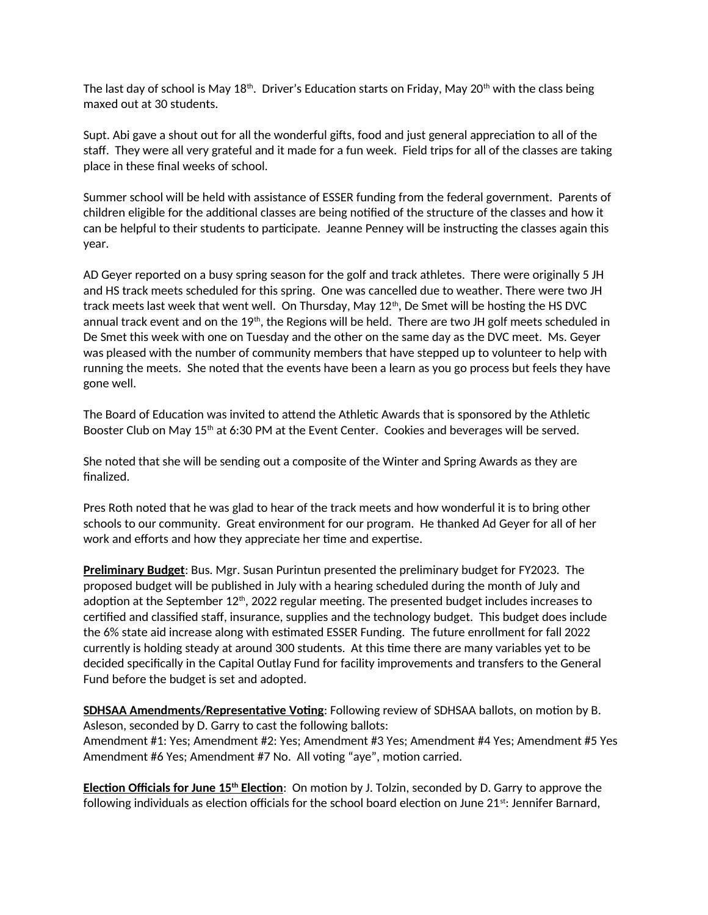The last day of school is May  $18<sup>th</sup>$ . Driver's Education starts on Friday, May  $20<sup>th</sup>$  with the class being maxed out at 30 students.

Supt. Abi gave a shout out for all the wonderful gifts, food and just general appreciation to all of the staff. They were all very grateful and it made for a fun week. Field trips for all of the classes are taking place in these final weeks of school.

Summer school will be held with assistance of ESSER funding from the federal government. Parents of children eligible for the additional classes are being notified of the structure of the classes and how it can be helpful to their students to participate. Jeanne Penney will be instructing the classes again this year.

AD Geyer reported on a busy spring season for the golf and track athletes. There were originally 5 JH and HS track meets scheduled for this spring. One was cancelled due to weather. There were two JH track meets last week that went well. On Thursday, May  $12<sup>th</sup>$ , De Smet will be hosting the HS DVC annual track event and on the 19<sup>th</sup>, the Regions will be held. There are two JH golf meets scheduled in De Smet this week with one on Tuesday and the other on the same day as the DVC meet. Ms. Geyer was pleased with the number of community members that have stepped up to volunteer to help with running the meets. She noted that the events have been a learn as you go process but feels they have gone well.

The Board of Education was invited to attend the Athletic Awards that is sponsored by the Athletic Booster Club on May  $15<sup>th</sup>$  at 6:30 PM at the Event Center. Cookies and beverages will be served.

She noted that she will be sending out a composite of the Winter and Spring Awards as they are finalized.

Pres Roth noted that he was glad to hear of the track meets and how wonderful it is to bring other schools to our community. Great environment for our program. He thanked Ad Geyer for all of her work and efforts and how they appreciate her time and expertise.

**Preliminary Budget**: Bus. Mgr. Susan Purintun presented the preliminary budget for FY2023. The proposed budget will be published in July with a hearing scheduled during the month of July and adoption at the September 12<sup>th</sup>, 2022 regular meeting. The presented budget includes increases to certified and classified staff, insurance, supplies and the technology budget. This budget does include the 6% state aid increase along with estimated ESSER Funding. The future enrollment for fall 2022 currently is holding steady at around 300 students. At this time there are many variables yet to be decided specifically in the Capital Outlay Fund for facility improvements and transfers to the General Fund before the budget is set and adopted.

**SDHSAA Amendments/Representative Voting**: Following review of SDHSAA ballots, on motion by B. Asleson, seconded by D. Garry to cast the following ballots:

Amendment #1: Yes; Amendment #2: Yes; Amendment #3 Yes; Amendment #4 Yes; Amendment #5 Yes Amendment #6 Yes; Amendment #7 No. All voting "aye", motion carried.

 **Election Officials for June 15th Election**: On motion by J. Tolzin, seconded by D. Garry to approve the following individuals as election officials for the school board election on June  $21^{st}$ : Jennifer Barnard,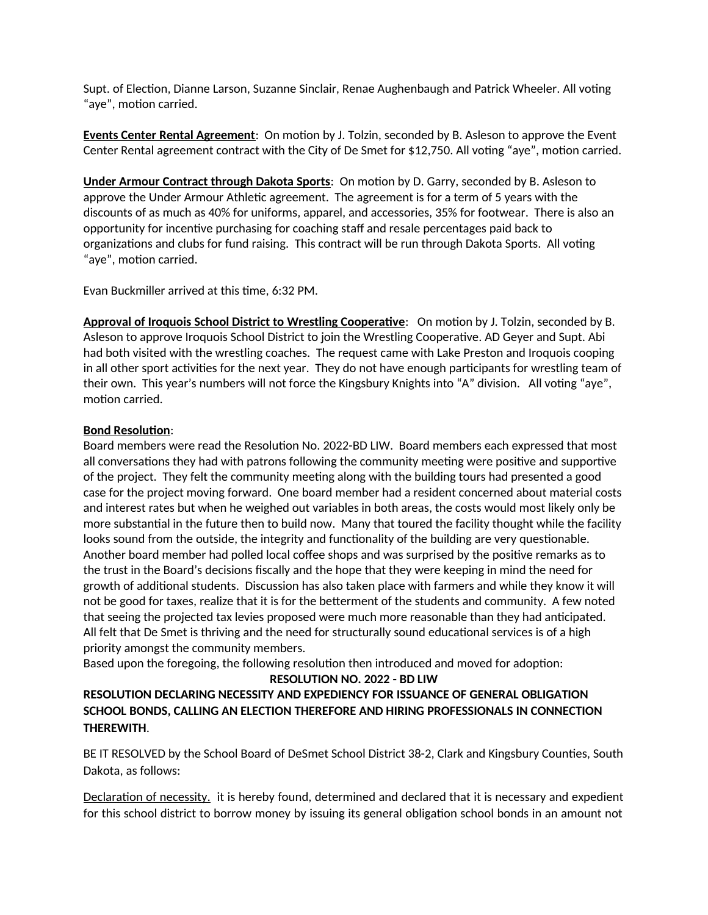Supt. of Election, Dianne Larson, Suzanne Sinclair, Renae Aughenbaugh and Patrick Wheeler. All voting "aye", motion carried.

**Events Center Rental Agreement**: On motion by J. Tolzin, seconded by B. Asleson to approve the Event Center Rental agreement contract with the City of De Smet for \$12,750. All voting "aye", motion carried.

**Under Armour Contract through Dakota Sports**: On motion by D. Garry, seconded by B. Asleson to approve the Under Armour Athletic agreement. The agreement is for a term of 5 years with the discounts of as much as 40% for uniforms, apparel, and accessories, 35% for footwear. There is also an opportunity for incentive purchasing for coaching staff and resale percentages paid back to organizations and clubs for fund raising. This contract will be run through Dakota Sports. All voting "aye", motion carried.

Evan Buckmiller arrived at this time, 6:32 PM.

**Approval of Iroquois School District to Wrestling Cooperative**: On motion by J. Tolzin, seconded by B. Asleson to approve Iroquois School District to join the Wrestling Cooperative. AD Geyer and Supt. Abi had both visited with the wrestling coaches. The request came with Lake Preston and Iroquois cooping in all other sport activities for the next year. They do not have enough participants for wrestling team of their own. This year's numbers will not force the Kingsbury Knights into "A" division. All voting "aye", motion carried.

## **Bond Resolution**:

Board members were read the Resolution No. 2022-BD LIW. Board members each expressed that most all conversations they had with patrons following the community meeting were positive and supportive of the project. They felt the community meeting along with the building tours had presented a good case for the project moving forward. One board member had a resident concerned about material costs and interest rates but when he weighed out variables in both areas, the costs would most likely only be more substantial in the future then to build now. Many that toured the facility thought while the facility looks sound from the outside, the integrity and functionality of the building are very questionable. Another board member had polled local coffee shops and was surprised by the positive remarks as to the trust in the Board's decisions fiscally and the hope that they were keeping in mind the need for growth of additional students. Discussion has also taken place with farmers and while they know it will not be good for taxes, realize that it is for the betterment of the students and community. A few noted that seeing the projected tax levies proposed were much more reasonable than they had anticipated. All felt that De Smet is thriving and the need for structurally sound educational services is of a high priority amongst the community members.

Based upon the foregoing, the following resolution then introduced and moved for adoption:

**RESOLUTION NO. 2022 - BD LIW**

**RESOLUTION DECLARING NECESSITY AND EXPEDIENCY FOR ISSUANCE OF GENERAL OBLIGATION SCHOOL BONDS, CALLING AN ELECTION THEREFORE AND HIRING PROFESSIONALS IN CONNECTION THEREWITH**.

BE IT RESOLVED by the School Board of DeSmet School District 38-2, Clark and Kingsbury Counties, South Dakota, as follows:

Declaration of necessity. it is hereby found, determined and declared that it is necessary and expedient for this school district to borrow money by issuing its general obligation school bonds in an amount not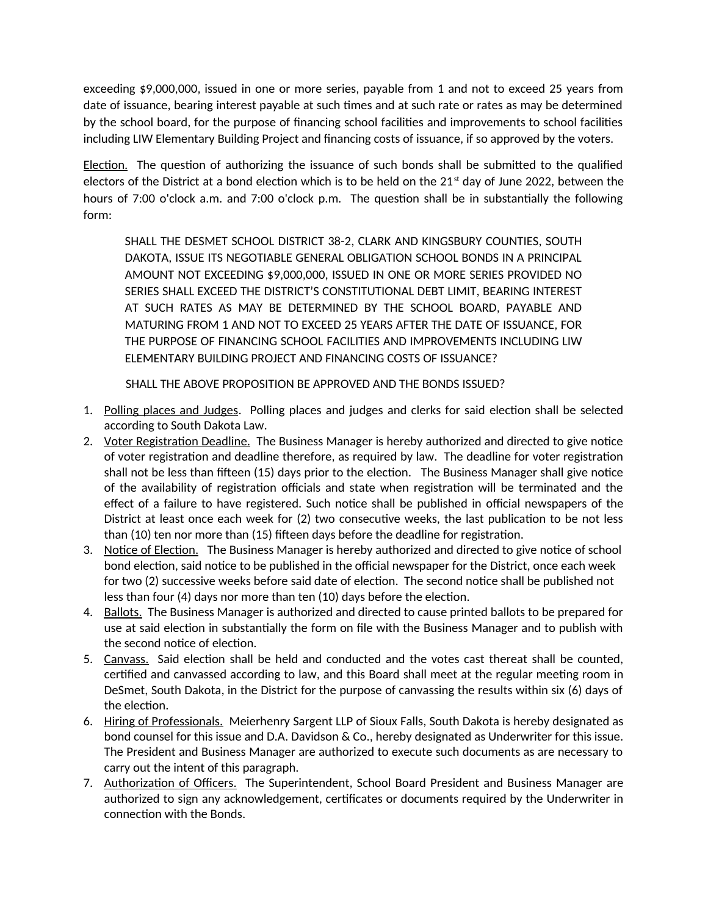exceeding \$9,000,000, issued in one or more series, payable from 1 and not to exceed 25 years from date of issuance, bearing interest payable at such times and at such rate or rates as may be determined by the school board, for the purpose of financing school facilities and improvements to school facilities including LIW Elementary Building Project and financing costs of issuance, if so approved by the voters.

Election. The question of authorizing the issuance of such bonds shall be submitted to the qualified electors of the District at a bond election which is to be held on the  $21<sup>st</sup>$  day of June 2022, between the hours of 7:00 o'clock a.m. and 7:00 o'clock p.m. The question shall be in substantially the following form:

SHALL THE DESMET SCHOOL DISTRICT 38-2, CLARK AND KINGSBURY COUNTIES, SOUTH DAKOTA, ISSUE ITS NEGOTIABLE GENERAL OBLIGATION SCHOOL BONDS IN A PRINCIPAL AMOUNT NOT EXCEEDING \$9,000,000, ISSUED IN ONE OR MORE SERIES PROVIDED NO SERIES SHALL EXCEED THE DISTRICT'S CONSTITUTIONAL DEBT LIMIT, BEARING INTEREST AT SUCH RATES AS MAY BE DETERMINED BY THE SCHOOL BOARD, PAYABLE AND MATURING FROM 1 AND NOT TO EXCEED 25 YEARS AFTER THE DATE OF ISSUANCE, FOR THE PURPOSE OF FINANCING SCHOOL FACILITIES AND IMPROVEMENTS INCLUDING LIW ELEMENTARY BUILDING PROJECT AND FINANCING COSTS OF ISSUANCE?

SHALL THE ABOVE PROPOSITION BE APPROVED AND THE BONDS ISSUED?

- 1. Polling places and Judges. Polling places and judges and clerks for said election shall be selected according to South Dakota Law.
- 2. Voter Registration Deadline. The Business Manager is hereby authorized and directed to give notice of voter registration and deadline therefore, as required by law. The deadline for voter registration shall not be less than fifteen (15) days prior to the election. The Business Manager shall give notice of the availability of registration officials and state when registration will be terminated and the effect of a failure to have registered. Such notice shall be published in official newspapers of the District at least once each week for (2) two consecutive weeks, the last publication to be not less than (10) ten nor more than (15) fifteen days before the deadline for registration.
- 3. Notice of Election. The Business Manager is hereby authorized and directed to give notice of school bond election, said notice to be published in the official newspaper for the District, once each week for two (2) successive weeks before said date of election. The second notice shall be published not less than four (4) days nor more than ten (10) days before the election.
- 4. Ballots. The Business Manager is authorized and directed to cause printed ballots to be prepared for use at said election in substantially the form on file with the Business Manager and to publish with the second notice of election.
- 5. Canvass. Said election shall be held and conducted and the votes cast thereat shall be counted, certified and canvassed according to law, and this Board shall meet at the regular meeting room in DeSmet, South Dakota, in the District for the purpose of canvassing the results within six (6) days of the election.
- 6. Hiring of Professionals. Meierhenry Sargent LLP of Sioux Falls, South Dakota is hereby designated as bond counsel for this issue and D.A. Davidson & Co., hereby designated as Underwriter for this issue. The President and Business Manager are authorized to execute such documents as are necessary to carry out the intent of this paragraph.
- 7. Authorization of Officers. The Superintendent, School Board President and Business Manager are authorized to sign any acknowledgement, certificates or documents required by the Underwriter in connection with the Bonds.